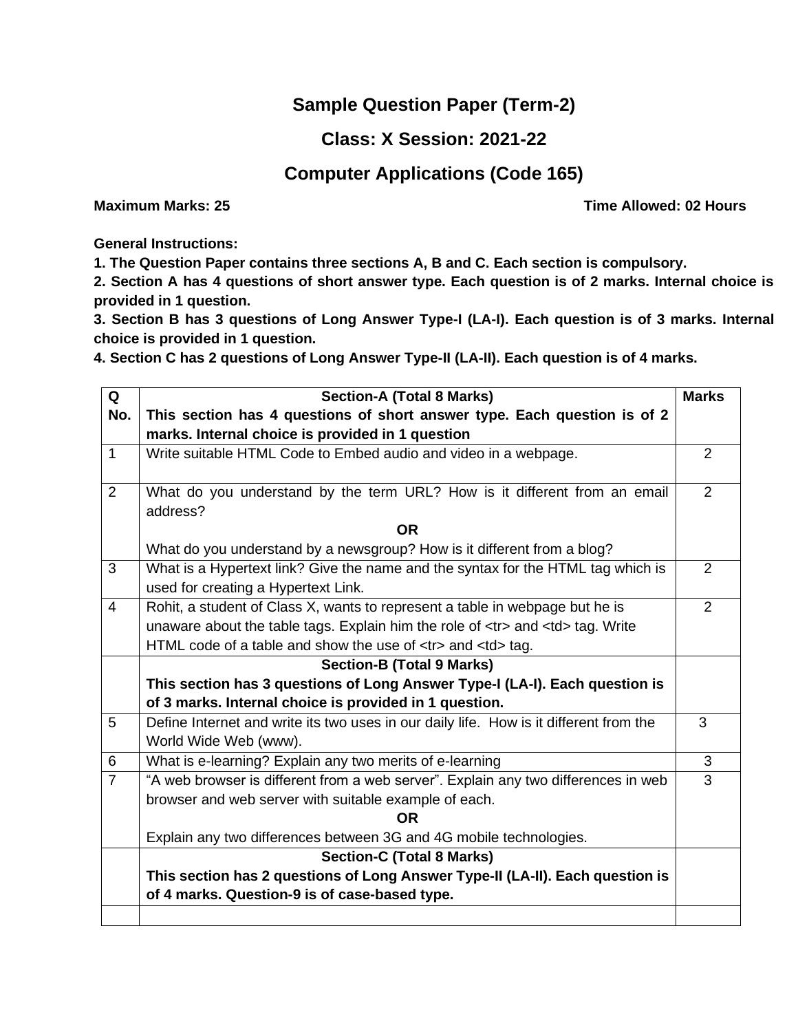## **Sample Question Paper (Term-2)**

## **Class: X Session: 2021-22**

## **Computer Applications (Code 165)**

**Maximum Marks: 25 Time Allowed: 02 Hours Maximum Marks: 25** 

**General Instructions:** 

**1. The Question Paper contains three sections A, B and C. Each section is compulsory.**

**2. Section A has 4 questions of short answer type. Each question is of 2 marks. Internal choice is provided in 1 question.**

**3. Section B has 3 questions of Long Answer Type-I (LA-I). Each question is of 3 marks. Internal choice is provided in 1 question.**

**4. Section C has 2 questions of Long Answer Type-II (LA-II). Each question is of 4 marks.**

| Q              | <b>Section-A (Total 8 Marks)</b>                                                                                                                                                                                                                                                                                                                                                                                                                                                                                                                                                                                                                                                                                                                                                                                                                                                                                                                                                                                                                                                                                                                                                                                                                                                                                                                                                                                                                                                                                | <b>Marks</b>   |  |  |                                                                                                                                                                                                                                                                                                                                                                                                                                                                                                                                                                                                                                                                                                                                                                                                                                                                                                                                                                                                                                                                                                                                                                                                                                                                                                                                                                                                  |      |  |  |                                  |  |  |                                                                             |  |  |  |                                                                             |  |  |                                                        |  |   |                                                                                        |                                                        |  |                       |                                                                                        |   |                                                          |                       |                |                                                                                    |                                                          |   |                                                       |                                                                                    |                |           |                                                       |  |                                                                    |           |  |                                  |                                                                    |  |                                                                               |                                  |  |                                               |                                                                               |  |  |                                               |  |  |  |  |
|----------------|-----------------------------------------------------------------------------------------------------------------------------------------------------------------------------------------------------------------------------------------------------------------------------------------------------------------------------------------------------------------------------------------------------------------------------------------------------------------------------------------------------------------------------------------------------------------------------------------------------------------------------------------------------------------------------------------------------------------------------------------------------------------------------------------------------------------------------------------------------------------------------------------------------------------------------------------------------------------------------------------------------------------------------------------------------------------------------------------------------------------------------------------------------------------------------------------------------------------------------------------------------------------------------------------------------------------------------------------------------------------------------------------------------------------------------------------------------------------------------------------------------------------|----------------|--|--|--------------------------------------------------------------------------------------------------------------------------------------------------------------------------------------------------------------------------------------------------------------------------------------------------------------------------------------------------------------------------------------------------------------------------------------------------------------------------------------------------------------------------------------------------------------------------------------------------------------------------------------------------------------------------------------------------------------------------------------------------------------------------------------------------------------------------------------------------------------------------------------------------------------------------------------------------------------------------------------------------------------------------------------------------------------------------------------------------------------------------------------------------------------------------------------------------------------------------------------------------------------------------------------------------------------------------------------------------------------------------------------------------|------|--|--|----------------------------------|--|--|-----------------------------------------------------------------------------|--|--|--|-----------------------------------------------------------------------------|--|--|--------------------------------------------------------|--|---|----------------------------------------------------------------------------------------|--------------------------------------------------------|--|-----------------------|----------------------------------------------------------------------------------------|---|----------------------------------------------------------|-----------------------|----------------|------------------------------------------------------------------------------------|----------------------------------------------------------|---|-------------------------------------------------------|------------------------------------------------------------------------------------|----------------|-----------|-------------------------------------------------------|--|--------------------------------------------------------------------|-----------|--|----------------------------------|--------------------------------------------------------------------|--|-------------------------------------------------------------------------------|----------------------------------|--|-----------------------------------------------|-------------------------------------------------------------------------------|--|--|-----------------------------------------------|--|--|--|--|
| No.            | This section has 4 questions of short answer type. Each question is of 2                                                                                                                                                                                                                                                                                                                                                                                                                                                                                                                                                                                                                                                                                                                                                                                                                                                                                                                                                                                                                                                                                                                                                                                                                                                                                                                                                                                                                                        |                |  |  |                                                                                                                                                                                                                                                                                                                                                                                                                                                                                                                                                                                                                                                                                                                                                                                                                                                                                                                                                                                                                                                                                                                                                                                                                                                                                                                                                                                                  |      |  |  |                                  |  |  |                                                                             |  |  |  |                                                                             |  |  |                                                        |  |   |                                                                                        |                                                        |  |                       |                                                                                        |   |                                                          |                       |                |                                                                                    |                                                          |   |                                                       |                                                                                    |                |           |                                                       |  |                                                                    |           |  |                                  |                                                                    |  |                                                                               |                                  |  |                                               |                                                                               |  |  |                                               |  |  |  |  |
|                | marks. Internal choice is provided in 1 question                                                                                                                                                                                                                                                                                                                                                                                                                                                                                                                                                                                                                                                                                                                                                                                                                                                                                                                                                                                                                                                                                                                                                                                                                                                                                                                                                                                                                                                                |                |  |  |                                                                                                                                                                                                                                                                                                                                                                                                                                                                                                                                                                                                                                                                                                                                                                                                                                                                                                                                                                                                                                                                                                                                                                                                                                                                                                                                                                                                  |      |  |  |                                  |  |  |                                                                             |  |  |  |                                                                             |  |  |                                                        |  |   |                                                                                        |                                                        |  |                       |                                                                                        |   |                                                          |                       |                |                                                                                    |                                                          |   |                                                       |                                                                                    |                |           |                                                       |  |                                                                    |           |  |                                  |                                                                    |  |                                                                               |                                  |  |                                               |                                                                               |  |  |                                               |  |  |  |  |
| $\mathbf{1}$   | Write suitable HTML Code to Embed audio and video in a webpage.                                                                                                                                                                                                                                                                                                                                                                                                                                                                                                                                                                                                                                                                                                                                                                                                                                                                                                                                                                                                                                                                                                                                                                                                                                                                                                                                                                                                                                                 | 2              |  |  |                                                                                                                                                                                                                                                                                                                                                                                                                                                                                                                                                                                                                                                                                                                                                                                                                                                                                                                                                                                                                                                                                                                                                                                                                                                                                                                                                                                                  |      |  |  |                                  |  |  |                                                                             |  |  |  |                                                                             |  |  |                                                        |  |   |                                                                                        |                                                        |  |                       |                                                                                        |   |                                                          |                       |                |                                                                                    |                                                          |   |                                                       |                                                                                    |                |           |                                                       |  |                                                                    |           |  |                                  |                                                                    |  |                                                                               |                                  |  |                                               |                                                                               |  |  |                                               |  |  |  |  |
|                |                                                                                                                                                                                                                                                                                                                                                                                                                                                                                                                                                                                                                                                                                                                                                                                                                                                                                                                                                                                                                                                                                                                                                                                                                                                                                                                                                                                                                                                                                                                 |                |  |  |                                                                                                                                                                                                                                                                                                                                                                                                                                                                                                                                                                                                                                                                                                                                                                                                                                                                                                                                                                                                                                                                                                                                                                                                                                                                                                                                                                                                  |      |  |  |                                  |  |  |                                                                             |  |  |  |                                                                             |  |  |                                                        |  |   |                                                                                        |                                                        |  |                       |                                                                                        |   |                                                          |                       |                |                                                                                    |                                                          |   |                                                       |                                                                                    |                |           |                                                       |  |                                                                    |           |  |                                  |                                                                    |  |                                                                               |                                  |  |                                               |                                                                               |  |  |                                               |  |  |  |  |
| 2              | What do you understand by the term URL? How is it different from an email                                                                                                                                                                                                                                                                                                                                                                                                                                                                                                                                                                                                                                                                                                                                                                                                                                                                                                                                                                                                                                                                                                                                                                                                                                                                                                                                                                                                                                       |                |  |  |                                                                                                                                                                                                                                                                                                                                                                                                                                                                                                                                                                                                                                                                                                                                                                                                                                                                                                                                                                                                                                                                                                                                                                                                                                                                                                                                                                                                  |      |  |  |                                  |  |  |                                                                             |  |  |  |                                                                             |  |  |                                                        |  |   |                                                                                        |                                                        |  |                       |                                                                                        |   |                                                          |                       |                |                                                                                    |                                                          |   |                                                       |                                                                                    |                |           |                                                       |  |                                                                    |           |  |                                  |                                                                    |  |                                                                               |                                  |  |                                               |                                                                               |  |  |                                               |  |  |  |  |
|                | address?                                                                                                                                                                                                                                                                                                                                                                                                                                                                                                                                                                                                                                                                                                                                                                                                                                                                                                                                                                                                                                                                                                                                                                                                                                                                                                                                                                                                                                                                                                        |                |  |  |                                                                                                                                                                                                                                                                                                                                                                                                                                                                                                                                                                                                                                                                                                                                                                                                                                                                                                                                                                                                                                                                                                                                                                                                                                                                                                                                                                                                  |      |  |  |                                  |  |  |                                                                             |  |  |  |                                                                             |  |  |                                                        |  |   |                                                                                        |                                                        |  |                       |                                                                                        |   |                                                          |                       |                |                                                                                    |                                                          |   |                                                       |                                                                                    |                |           |                                                       |  |                                                                    |           |  |                                  |                                                                    |  |                                                                               |                                  |  |                                               |                                                                               |  |  |                                               |  |  |  |  |
|                | <b>OR</b>                                                                                                                                                                                                                                                                                                                                                                                                                                                                                                                                                                                                                                                                                                                                                                                                                                                                                                                                                                                                                                                                                                                                                                                                                                                                                                                                                                                                                                                                                                       |                |  |  |                                                                                                                                                                                                                                                                                                                                                                                                                                                                                                                                                                                                                                                                                                                                                                                                                                                                                                                                                                                                                                                                                                                                                                                                                                                                                                                                                                                                  |      |  |  |                                  |  |  |                                                                             |  |  |  |                                                                             |  |  |                                                        |  |   |                                                                                        |                                                        |  |                       |                                                                                        |   |                                                          |                       |                |                                                                                    |                                                          |   |                                                       |                                                                                    |                |           |                                                       |  |                                                                    |           |  |                                  |                                                                    |  |                                                                               |                                  |  |                                               |                                                                               |  |  |                                               |  |  |  |  |
|                | What do you understand by a newsgroup? How is it different from a blog?                                                                                                                                                                                                                                                                                                                                                                                                                                                                                                                                                                                                                                                                                                                                                                                                                                                                                                                                                                                                                                                                                                                                                                                                                                                                                                                                                                                                                                         |                |  |  |                                                                                                                                                                                                                                                                                                                                                                                                                                                                                                                                                                                                                                                                                                                                                                                                                                                                                                                                                                                                                                                                                                                                                                                                                                                                                                                                                                                                  |      |  |  |                                  |  |  |                                                                             |  |  |  |                                                                             |  |  |                                                        |  |   |                                                                                        |                                                        |  |                       |                                                                                        |   |                                                          |                       |                |                                                                                    |                                                          |   |                                                       |                                                                                    |                |           |                                                       |  |                                                                    |           |  |                                  |                                                                    |  |                                                                               |                                  |  |                                               |                                                                               |  |  |                                               |  |  |  |  |
| 3              | What is a Hypertext link? Give the name and the syntax for the HTML tag which is                                                                                                                                                                                                                                                                                                                                                                                                                                                                                                                                                                                                                                                                                                                                                                                                                                                                                                                                                                                                                                                                                                                                                                                                                                                                                                                                                                                                                                | 2              |  |  |                                                                                                                                                                                                                                                                                                                                                                                                                                                                                                                                                                                                                                                                                                                                                                                                                                                                                                                                                                                                                                                                                                                                                                                                                                                                                                                                                                                                  |      |  |  |                                  |  |  |                                                                             |  |  |  |                                                                             |  |  |                                                        |  |   |                                                                                        |                                                        |  |                       |                                                                                        |   |                                                          |                       |                |                                                                                    |                                                          |   |                                                       |                                                                                    |                |           |                                                       |  |                                                                    |           |  |                                  |                                                                    |  |                                                                               |                                  |  |                                               |                                                                               |  |  |                                               |  |  |  |  |
|                | used for creating a Hypertext Link.                                                                                                                                                                                                                                                                                                                                                                                                                                                                                                                                                                                                                                                                                                                                                                                                                                                                                                                                                                                                                                                                                                                                                                                                                                                                                                                                                                                                                                                                             |                |  |  |                                                                                                                                                                                                                                                                                                                                                                                                                                                                                                                                                                                                                                                                                                                                                                                                                                                                                                                                                                                                                                                                                                                                                                                                                                                                                                                                                                                                  |      |  |  |                                  |  |  |                                                                             |  |  |  |                                                                             |  |  |                                                        |  |   |                                                                                        |                                                        |  |                       |                                                                                        |   |                                                          |                       |                |                                                                                    |                                                          |   |                                                       |                                                                                    |                |           |                                                       |  |                                                                    |           |  |                                  |                                                                    |  |                                                                               |                                  |  |                                               |                                                                               |  |  |                                               |  |  |  |  |
| $\overline{4}$ | Rohit, a student of Class X, wants to represent a table in webpage but he is                                                                                                                                                                                                                                                                                                                                                                                                                                                                                                                                                                                                                                                                                                                                                                                                                                                                                                                                                                                                                                                                                                                                                                                                                                                                                                                                                                                                                                    | 2              |  |  |                                                                                                                                                                                                                                                                                                                                                                                                                                                                                                                                                                                                                                                                                                                                                                                                                                                                                                                                                                                                                                                                                                                                                                                                                                                                                                                                                                                                  |      |  |  |                                  |  |  |                                                                             |  |  |  |                                                                             |  |  |                                                        |  |   |                                                                                        |                                                        |  |                       |                                                                                        |   |                                                          |                       |                |                                                                                    |                                                          |   |                                                       |                                                                                    |                |           |                                                       |  |                                                                    |           |  |                                  |                                                                    |  |                                                                               |                                  |  |                                               |                                                                               |  |  |                                               |  |  |  |  |
|                | unaware about the table tags. Explain him the role of <tr> and <td> tag. Write</td><td></td></tr> <tr><td></td><td>HTML code of a table and show the use of <tr> and <td> tag.</td><td></td></tr><tr><th></th><th colspan="6"><b>Section-B (Total 9 Marks)</b></th></tr><tr><th></th><th colspan="6">This section has 3 questions of Long Answer Type-I (LA-I). Each question is</th></tr><tr><th></th><th>of 3 marks. Internal choice is provided in 1 question.</th><th></th></tr><tr><td>5</td><td>Define Internet and write its two uses in our daily life. How is it different from the</td><td>3</td></tr><tr><td></td><td>World Wide Web (www).</td><td></td></tr><tr><td>6</td><td>What is e-learning? Explain any two merits of e-learning</td><td>3</td></tr><tr><td><math>\overline{7}</math></td><td>"A web browser is different from a web server". Explain any two differences in web</td><td><math>\overline{3}</math></td></tr><tr><td></td><td>browser and web server with suitable example of each.</td><td></td></tr><tr><td></td><td><b>OR</b></td><td></td></tr><tr><td></td><td>Explain any two differences between 3G and 4G mobile technologies.</td><td></td></tr><tr><th></th><th><b>Section-C (Total 8 Marks)</b></th><th></th></tr><tr><td></td><td>This section has 2 questions of Long Answer Type-II (LA-II). Each question is</td><td></td></tr><tr><td></td><td>of 4 marks. Question-9 is of case-based type.</td><td></td></tr><tr><td></td><td></td><td></td></tr></td></tr> | tag. Write     |  |  | HTML code of a table and show the use of <tr> and <td> tag.</td><td></td></tr> <tr><th></th><th colspan="6"><b>Section-B (Total 9 Marks)</b></th></tr> <tr><th></th><th colspan="6">This section has 3 questions of Long Answer Type-I (LA-I). Each question is</th></tr> <tr><th></th><th>of 3 marks. Internal choice is provided in 1 question.</th><th></th></tr> <tr><td>5</td><td>Define Internet and write its two uses in our daily life. How is it different from the</td><td>3</td></tr> <tr><td></td><td>World Wide Web (www).</td><td></td></tr> <tr><td>6</td><td>What is e-learning? Explain any two merits of e-learning</td><td>3</td></tr> <tr><td><math>\overline{7}</math></td><td>"A web browser is different from a web server". Explain any two differences in web</td><td><math>\overline{3}</math></td></tr> <tr><td></td><td>browser and web server with suitable example of each.</td><td></td></tr> <tr><td></td><td><b>OR</b></td><td></td></tr> <tr><td></td><td>Explain any two differences between 3G and 4G mobile technologies.</td><td></td></tr> <tr><th></th><th><b>Section-C (Total 8 Marks)</b></th><th></th></tr> <tr><td></td><td>This section has 2 questions of Long Answer Type-II (LA-II). Each question is</td><td></td></tr> <tr><td></td><td>of 4 marks. Question-9 is of case-based type.</td><td></td></tr> <tr><td></td><td></td><td></td></tr> | tag. |  |  | <b>Section-B (Total 9 Marks)</b> |  |  |                                                                             |  |  |  | This section has 3 questions of Long Answer Type-I (LA-I). Each question is |  |  |                                                        |  |   |                                                                                        | of 3 marks. Internal choice is provided in 1 question. |  | 5                     | Define Internet and write its two uses in our daily life. How is it different from the | 3 |                                                          | World Wide Web (www). |                | 6                                                                                  | What is e-learning? Explain any two merits of e-learning | 3 | $\overline{7}$                                        | "A web browser is different from a web server". Explain any two differences in web | $\overline{3}$ |           | browser and web server with suitable example of each. |  |                                                                    | <b>OR</b> |  |                                  | Explain any two differences between 3G and 4G mobile technologies. |  |                                                                               | <b>Section-C (Total 8 Marks)</b> |  |                                               | This section has 2 questions of Long Answer Type-II (LA-II). Each question is |  |  | of 4 marks. Question-9 is of case-based type. |  |  |  |  |
| tag. Write     |                                                                                                                                                                                                                                                                                                                                                                                                                                                                                                                                                                                                                                                                                                                                                                                                                                                                                                                                                                                                                                                                                                                                                                                                                                                                                                                                                                                                                                                                                                                 |                |  |  |                                                                                                                                                                                                                                                                                                                                                                                                                                                                                                                                                                                                                                                                                                                                                                                                                                                                                                                                                                                                                                                                                                                                                                                                                                                                                                                                                                                                  |      |  |  |                                  |  |  |                                                                             |  |  |  |                                                                             |  |  |                                                        |  |   |                                                                                        |                                                        |  |                       |                                                                                        |   |                                                          |                       |                |                                                                                    |                                                          |   |                                                       |                                                                                    |                |           |                                                       |  |                                                                    |           |  |                                  |                                                                    |  |                                                                               |                                  |  |                                               |                                                                               |  |  |                                               |  |  |  |  |
|                | HTML code of a table and show the use of <tr> and <td> tag.</td><td></td></tr> <tr><th></th><th colspan="6"><b>Section-B (Total 9 Marks)</b></th></tr> <tr><th></th><th colspan="6">This section has 3 questions of Long Answer Type-I (LA-I). Each question is</th></tr> <tr><th></th><th>of 3 marks. Internal choice is provided in 1 question.</th><th></th></tr> <tr><td>5</td><td>Define Internet and write its two uses in our daily life. How is it different from the</td><td>3</td></tr> <tr><td></td><td>World Wide Web (www).</td><td></td></tr> <tr><td>6</td><td>What is e-learning? Explain any two merits of e-learning</td><td>3</td></tr> <tr><td><math>\overline{7}</math></td><td>"A web browser is different from a web server". Explain any two differences in web</td><td><math>\overline{3}</math></td></tr> <tr><td></td><td>browser and web server with suitable example of each.</td><td></td></tr> <tr><td></td><td><b>OR</b></td><td></td></tr> <tr><td></td><td>Explain any two differences between 3G and 4G mobile technologies.</td><td></td></tr> <tr><th></th><th><b>Section-C (Total 8 Marks)</b></th><th></th></tr> <tr><td></td><td>This section has 2 questions of Long Answer Type-II (LA-II). Each question is</td><td></td></tr> <tr><td></td><td>of 4 marks. Question-9 is of case-based type.</td><td></td></tr> <tr><td></td><td></td><td></td></tr>                                                                                                                | tag.           |  |  | <b>Section-B (Total 9 Marks)</b>                                                                                                                                                                                                                                                                                                                                                                                                                                                                                                                                                                                                                                                                                                                                                                                                                                                                                                                                                                                                                                                                                                                                                                                                                                                                                                                                                                 |      |  |  |                                  |  |  | This section has 3 questions of Long Answer Type-I (LA-I). Each question is |  |  |  |                                                                             |  |  | of 3 marks. Internal choice is provided in 1 question. |  | 5 | Define Internet and write its two uses in our daily life. How is it different from the | 3                                                      |  | World Wide Web (www). |                                                                                        | 6 | What is e-learning? Explain any two merits of e-learning | 3                     | $\overline{7}$ | "A web browser is different from a web server". Explain any two differences in web | $\overline{3}$                                           |   | browser and web server with suitable example of each. |                                                                                    |                | <b>OR</b> |                                                       |  | Explain any two differences between 3G and 4G mobile technologies. |           |  | <b>Section-C (Total 8 Marks)</b> |                                                                    |  | This section has 2 questions of Long Answer Type-II (LA-II). Each question is |                                  |  | of 4 marks. Question-9 is of case-based type. |                                                                               |  |  |                                               |  |  |  |  |
| tag.           |                                                                                                                                                                                                                                                                                                                                                                                                                                                                                                                                                                                                                                                                                                                                                                                                                                                                                                                                                                                                                                                                                                                                                                                                                                                                                                                                                                                                                                                                                                                 |                |  |  |                                                                                                                                                                                                                                                                                                                                                                                                                                                                                                                                                                                                                                                                                                                                                                                                                                                                                                                                                                                                                                                                                                                                                                                                                                                                                                                                                                                                  |      |  |  |                                  |  |  |                                                                             |  |  |  |                                                                             |  |  |                                                        |  |   |                                                                                        |                                                        |  |                       |                                                                                        |   |                                                          |                       |                |                                                                                    |                                                          |   |                                                       |                                                                                    |                |           |                                                       |  |                                                                    |           |  |                                  |                                                                    |  |                                                                               |                                  |  |                                               |                                                                               |  |  |                                               |  |  |  |  |
|                | <b>Section-B (Total 9 Marks)</b>                                                                                                                                                                                                                                                                                                                                                                                                                                                                                                                                                                                                                                                                                                                                                                                                                                                                                                                                                                                                                                                                                                                                                                                                                                                                                                                                                                                                                                                                                |                |  |  |                                                                                                                                                                                                                                                                                                                                                                                                                                                                                                                                                                                                                                                                                                                                                                                                                                                                                                                                                                                                                                                                                                                                                                                                                                                                                                                                                                                                  |      |  |  |                                  |  |  |                                                                             |  |  |  |                                                                             |  |  |                                                        |  |   |                                                                                        |                                                        |  |                       |                                                                                        |   |                                                          |                       |                |                                                                                    |                                                          |   |                                                       |                                                                                    |                |           |                                                       |  |                                                                    |           |  |                                  |                                                                    |  |                                                                               |                                  |  |                                               |                                                                               |  |  |                                               |  |  |  |  |
|                | This section has 3 questions of Long Answer Type-I (LA-I). Each question is                                                                                                                                                                                                                                                                                                                                                                                                                                                                                                                                                                                                                                                                                                                                                                                                                                                                                                                                                                                                                                                                                                                                                                                                                                                                                                                                                                                                                                     |                |  |  |                                                                                                                                                                                                                                                                                                                                                                                                                                                                                                                                                                                                                                                                                                                                                                                                                                                                                                                                                                                                                                                                                                                                                                                                                                                                                                                                                                                                  |      |  |  |                                  |  |  |                                                                             |  |  |  |                                                                             |  |  |                                                        |  |   |                                                                                        |                                                        |  |                       |                                                                                        |   |                                                          |                       |                |                                                                                    |                                                          |   |                                                       |                                                                                    |                |           |                                                       |  |                                                                    |           |  |                                  |                                                                    |  |                                                                               |                                  |  |                                               |                                                                               |  |  |                                               |  |  |  |  |
|                | of 3 marks. Internal choice is provided in 1 question.                                                                                                                                                                                                                                                                                                                                                                                                                                                                                                                                                                                                                                                                                                                                                                                                                                                                                                                                                                                                                                                                                                                                                                                                                                                                                                                                                                                                                                                          |                |  |  |                                                                                                                                                                                                                                                                                                                                                                                                                                                                                                                                                                                                                                                                                                                                                                                                                                                                                                                                                                                                                                                                                                                                                                                                                                                                                                                                                                                                  |      |  |  |                                  |  |  |                                                                             |  |  |  |                                                                             |  |  |                                                        |  |   |                                                                                        |                                                        |  |                       |                                                                                        |   |                                                          |                       |                |                                                                                    |                                                          |   |                                                       |                                                                                    |                |           |                                                       |  |                                                                    |           |  |                                  |                                                                    |  |                                                                               |                                  |  |                                               |                                                                               |  |  |                                               |  |  |  |  |
| 5              | Define Internet and write its two uses in our daily life. How is it different from the                                                                                                                                                                                                                                                                                                                                                                                                                                                                                                                                                                                                                                                                                                                                                                                                                                                                                                                                                                                                                                                                                                                                                                                                                                                                                                                                                                                                                          | 3              |  |  |                                                                                                                                                                                                                                                                                                                                                                                                                                                                                                                                                                                                                                                                                                                                                                                                                                                                                                                                                                                                                                                                                                                                                                                                                                                                                                                                                                                                  |      |  |  |                                  |  |  |                                                                             |  |  |  |                                                                             |  |  |                                                        |  |   |                                                                                        |                                                        |  |                       |                                                                                        |   |                                                          |                       |                |                                                                                    |                                                          |   |                                                       |                                                                                    |                |           |                                                       |  |                                                                    |           |  |                                  |                                                                    |  |                                                                               |                                  |  |                                               |                                                                               |  |  |                                               |  |  |  |  |
|                | World Wide Web (www).                                                                                                                                                                                                                                                                                                                                                                                                                                                                                                                                                                                                                                                                                                                                                                                                                                                                                                                                                                                                                                                                                                                                                                                                                                                                                                                                                                                                                                                                                           |                |  |  |                                                                                                                                                                                                                                                                                                                                                                                                                                                                                                                                                                                                                                                                                                                                                                                                                                                                                                                                                                                                                                                                                                                                                                                                                                                                                                                                                                                                  |      |  |  |                                  |  |  |                                                                             |  |  |  |                                                                             |  |  |                                                        |  |   |                                                                                        |                                                        |  |                       |                                                                                        |   |                                                          |                       |                |                                                                                    |                                                          |   |                                                       |                                                                                    |                |           |                                                       |  |                                                                    |           |  |                                  |                                                                    |  |                                                                               |                                  |  |                                               |                                                                               |  |  |                                               |  |  |  |  |
| 6              | What is e-learning? Explain any two merits of e-learning                                                                                                                                                                                                                                                                                                                                                                                                                                                                                                                                                                                                                                                                                                                                                                                                                                                                                                                                                                                                                                                                                                                                                                                                                                                                                                                                                                                                                                                        | 3              |  |  |                                                                                                                                                                                                                                                                                                                                                                                                                                                                                                                                                                                                                                                                                                                                                                                                                                                                                                                                                                                                                                                                                                                                                                                                                                                                                                                                                                                                  |      |  |  |                                  |  |  |                                                                             |  |  |  |                                                                             |  |  |                                                        |  |   |                                                                                        |                                                        |  |                       |                                                                                        |   |                                                          |                       |                |                                                                                    |                                                          |   |                                                       |                                                                                    |                |           |                                                       |  |                                                                    |           |  |                                  |                                                                    |  |                                                                               |                                  |  |                                               |                                                                               |  |  |                                               |  |  |  |  |
| $\overline{7}$ | "A web browser is different from a web server". Explain any two differences in web                                                                                                                                                                                                                                                                                                                                                                                                                                                                                                                                                                                                                                                                                                                                                                                                                                                                                                                                                                                                                                                                                                                                                                                                                                                                                                                                                                                                                              | $\overline{3}$ |  |  |                                                                                                                                                                                                                                                                                                                                                                                                                                                                                                                                                                                                                                                                                                                                                                                                                                                                                                                                                                                                                                                                                                                                                                                                                                                                                                                                                                                                  |      |  |  |                                  |  |  |                                                                             |  |  |  |                                                                             |  |  |                                                        |  |   |                                                                                        |                                                        |  |                       |                                                                                        |   |                                                          |                       |                |                                                                                    |                                                          |   |                                                       |                                                                                    |                |           |                                                       |  |                                                                    |           |  |                                  |                                                                    |  |                                                                               |                                  |  |                                               |                                                                               |  |  |                                               |  |  |  |  |
|                | browser and web server with suitable example of each.                                                                                                                                                                                                                                                                                                                                                                                                                                                                                                                                                                                                                                                                                                                                                                                                                                                                                                                                                                                                                                                                                                                                                                                                                                                                                                                                                                                                                                                           |                |  |  |                                                                                                                                                                                                                                                                                                                                                                                                                                                                                                                                                                                                                                                                                                                                                                                                                                                                                                                                                                                                                                                                                                                                                                                                                                                                                                                                                                                                  |      |  |  |                                  |  |  |                                                                             |  |  |  |                                                                             |  |  |                                                        |  |   |                                                                                        |                                                        |  |                       |                                                                                        |   |                                                          |                       |                |                                                                                    |                                                          |   |                                                       |                                                                                    |                |           |                                                       |  |                                                                    |           |  |                                  |                                                                    |  |                                                                               |                                  |  |                                               |                                                                               |  |  |                                               |  |  |  |  |
|                | <b>OR</b>                                                                                                                                                                                                                                                                                                                                                                                                                                                                                                                                                                                                                                                                                                                                                                                                                                                                                                                                                                                                                                                                                                                                                                                                                                                                                                                                                                                                                                                                                                       |                |  |  |                                                                                                                                                                                                                                                                                                                                                                                                                                                                                                                                                                                                                                                                                                                                                                                                                                                                                                                                                                                                                                                                                                                                                                                                                                                                                                                                                                                                  |      |  |  |                                  |  |  |                                                                             |  |  |  |                                                                             |  |  |                                                        |  |   |                                                                                        |                                                        |  |                       |                                                                                        |   |                                                          |                       |                |                                                                                    |                                                          |   |                                                       |                                                                                    |                |           |                                                       |  |                                                                    |           |  |                                  |                                                                    |  |                                                                               |                                  |  |                                               |                                                                               |  |  |                                               |  |  |  |  |
|                | Explain any two differences between 3G and 4G mobile technologies.                                                                                                                                                                                                                                                                                                                                                                                                                                                                                                                                                                                                                                                                                                                                                                                                                                                                                                                                                                                                                                                                                                                                                                                                                                                                                                                                                                                                                                              |                |  |  |                                                                                                                                                                                                                                                                                                                                                                                                                                                                                                                                                                                                                                                                                                                                                                                                                                                                                                                                                                                                                                                                                                                                                                                                                                                                                                                                                                                                  |      |  |  |                                  |  |  |                                                                             |  |  |  |                                                                             |  |  |                                                        |  |   |                                                                                        |                                                        |  |                       |                                                                                        |   |                                                          |                       |                |                                                                                    |                                                          |   |                                                       |                                                                                    |                |           |                                                       |  |                                                                    |           |  |                                  |                                                                    |  |                                                                               |                                  |  |                                               |                                                                               |  |  |                                               |  |  |  |  |
|                | <b>Section-C (Total 8 Marks)</b>                                                                                                                                                                                                                                                                                                                                                                                                                                                                                                                                                                                                                                                                                                                                                                                                                                                                                                                                                                                                                                                                                                                                                                                                                                                                                                                                                                                                                                                                                |                |  |  |                                                                                                                                                                                                                                                                                                                                                                                                                                                                                                                                                                                                                                                                                                                                                                                                                                                                                                                                                                                                                                                                                                                                                                                                                                                                                                                                                                                                  |      |  |  |                                  |  |  |                                                                             |  |  |  |                                                                             |  |  |                                                        |  |   |                                                                                        |                                                        |  |                       |                                                                                        |   |                                                          |                       |                |                                                                                    |                                                          |   |                                                       |                                                                                    |                |           |                                                       |  |                                                                    |           |  |                                  |                                                                    |  |                                                                               |                                  |  |                                               |                                                                               |  |  |                                               |  |  |  |  |
|                | This section has 2 questions of Long Answer Type-II (LA-II). Each question is                                                                                                                                                                                                                                                                                                                                                                                                                                                                                                                                                                                                                                                                                                                                                                                                                                                                                                                                                                                                                                                                                                                                                                                                                                                                                                                                                                                                                                   |                |  |  |                                                                                                                                                                                                                                                                                                                                                                                                                                                                                                                                                                                                                                                                                                                                                                                                                                                                                                                                                                                                                                                                                                                                                                                                                                                                                                                                                                                                  |      |  |  |                                  |  |  |                                                                             |  |  |  |                                                                             |  |  |                                                        |  |   |                                                                                        |                                                        |  |                       |                                                                                        |   |                                                          |                       |                |                                                                                    |                                                          |   |                                                       |                                                                                    |                |           |                                                       |  |                                                                    |           |  |                                  |                                                                    |  |                                                                               |                                  |  |                                               |                                                                               |  |  |                                               |  |  |  |  |
|                | of 4 marks. Question-9 is of case-based type.                                                                                                                                                                                                                                                                                                                                                                                                                                                                                                                                                                                                                                                                                                                                                                                                                                                                                                                                                                                                                                                                                                                                                                                                                                                                                                                                                                                                                                                                   |                |  |  |                                                                                                                                                                                                                                                                                                                                                                                                                                                                                                                                                                                                                                                                                                                                                                                                                                                                                                                                                                                                                                                                                                                                                                                                                                                                                                                                                                                                  |      |  |  |                                  |  |  |                                                                             |  |  |  |                                                                             |  |  |                                                        |  |   |                                                                                        |                                                        |  |                       |                                                                                        |   |                                                          |                       |                |                                                                                    |                                                          |   |                                                       |                                                                                    |                |           |                                                       |  |                                                                    |           |  |                                  |                                                                    |  |                                                                               |                                  |  |                                               |                                                                               |  |  |                                               |  |  |  |  |
|                |                                                                                                                                                                                                                                                                                                                                                                                                                                                                                                                                                                                                                                                                                                                                                                                                                                                                                                                                                                                                                                                                                                                                                                                                                                                                                                                                                                                                                                                                                                                 |                |  |  |                                                                                                                                                                                                                                                                                                                                                                                                                                                                                                                                                                                                                                                                                                                                                                                                                                                                                                                                                                                                                                                                                                                                                                                                                                                                                                                                                                                                  |      |  |  |                                  |  |  |                                                                             |  |  |  |                                                                             |  |  |                                                        |  |   |                                                                                        |                                                        |  |                       |                                                                                        |   |                                                          |                       |                |                                                                                    |                                                          |   |                                                       |                                                                                    |                |           |                                                       |  |                                                                    |           |  |                                  |                                                                    |  |                                                                               |                                  |  |                                               |                                                                               |  |  |                                               |  |  |  |  |